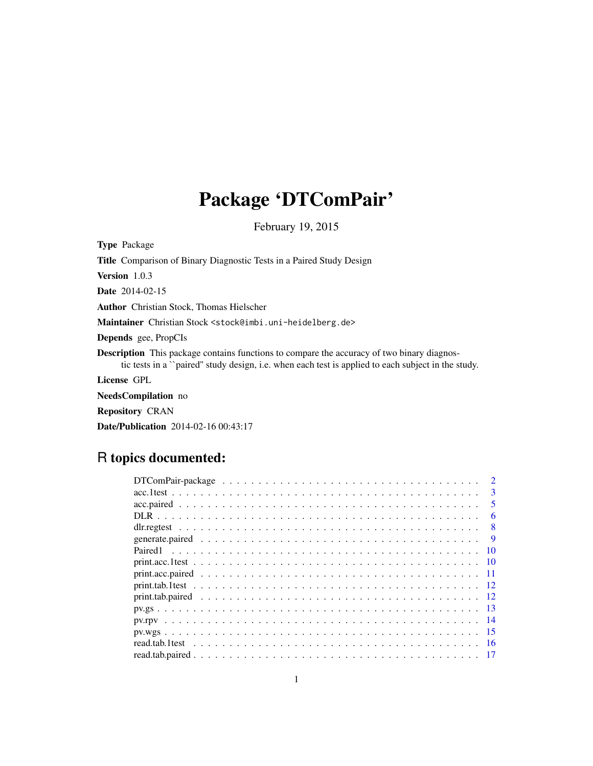# Package 'DTComPair'

February 19, 2015

Type Package

Title Comparison of Binary Diagnostic Tests in a Paired Study Design Version 1.0.3

Date 2014-02-15

Author Christian Stock, Thomas Hielscher

Maintainer Christian Stock <stock@imbi.uni-heidelberg.de>

Depends gee, PropCIs

Description This package contains functions to compare the accuracy of two binary diagnostic tests in a ``paired'' study design, i.e. when each test is applied to each subject in the study.

License GPL

NeedsCompilation no

Repository CRAN

Date/Publication 2014-02-16 00:43:17

# R topics documented:

|      | 3            |
|------|--------------|
|      |              |
|      | 6            |
|      | $\mathbf{R}$ |
|      |              |
|      |              |
| - 10 |              |
|      |              |
|      |              |
|      |              |
|      |              |
|      |              |
|      |              |
|      |              |
|      |              |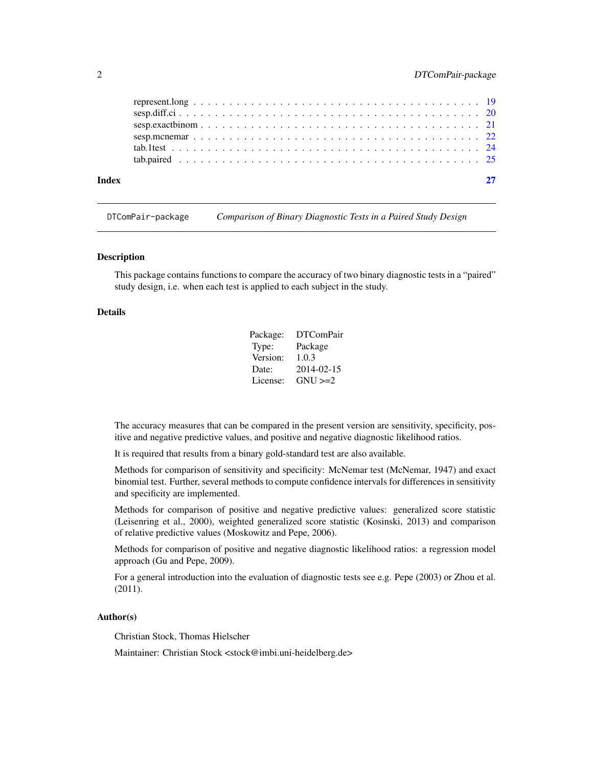# <span id="page-1-0"></span>2 DTComPair-package

| Index |  |
|-------|--|
|       |  |
|       |  |
|       |  |
|       |  |
|       |  |
|       |  |

DTComPair-package *Comparison of Binary Diagnostic Tests in a Paired Study Design*

#### <span id="page-1-1"></span>Description

This package contains functions to compare the accuracy of two binary diagnostic tests in a "paired" study design, i.e. when each test is applied to each subject in the study.

#### Details

| Package: | <b>DTComPair</b> |
|----------|------------------|
| Type:    | Package          |
| Version: | 1.0.3            |
| Date:    | 2014-02-15       |
| License: | $GNU >=2$        |

The accuracy measures that can be compared in the present version are sensitivity, specificity, positive and negative predictive values, and positive and negative diagnostic likelihood ratios.

It is required that results from a binary gold-standard test are also available.

Methods for comparison of sensitivity and specificity: McNemar test (McNemar, 1947) and exact binomial test. Further, several methods to compute confidence intervals for differences in sensitivity and specificity are implemented.

Methods for comparison of positive and negative predictive values: generalized score statistic (Leisenring et al., 2000), weighted generalized score statistic (Kosinski, 2013) and comparison of relative predictive values (Moskowitz and Pepe, 2006).

Methods for comparison of positive and negative diagnostic likelihood ratios: a regression model approach (Gu and Pepe, 2009).

For a general introduction into the evaluation of diagnostic tests see e.g. Pepe (2003) or Zhou et al. (2011).

#### Author(s)

Christian Stock, Thomas Hielscher

Maintainer: Christian Stock <stock@imbi.uni-heidelberg.de>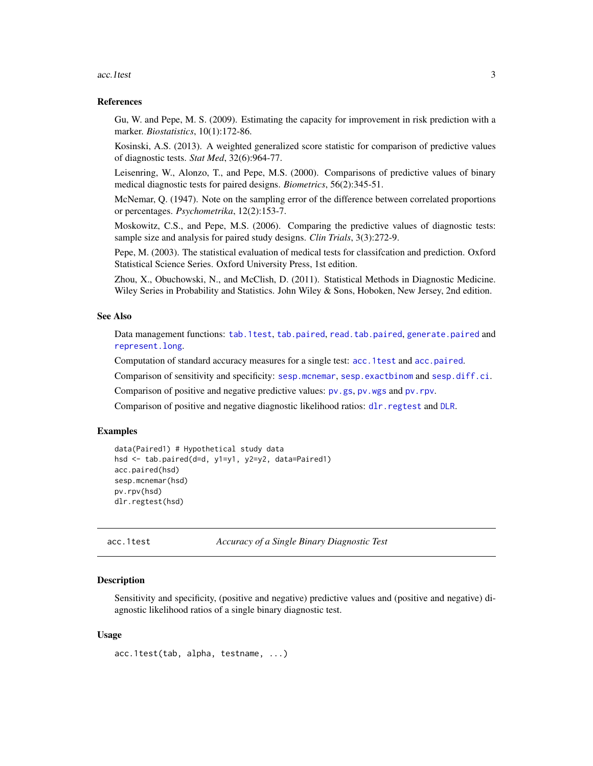<span id="page-2-0"></span>acc. 1test 3

#### References

Gu, W. and Pepe, M. S. (2009). Estimating the capacity for improvement in risk prediction with a marker. *Biostatistics*, 10(1):172-86.

Kosinski, A.S. (2013). A weighted generalized score statistic for comparison of predictive values of diagnostic tests. *Stat Med*, 32(6):964-77.

Leisenring, W., Alonzo, T., and Pepe, M.S. (2000). Comparisons of predictive values of binary medical diagnostic tests for paired designs. *Biometrics*, 56(2):345-51.

McNemar, Q. (1947). Note on the sampling error of the difference between correlated proportions or percentages. *Psychometrika*, 12(2):153-7.

Moskowitz, C.S., and Pepe, M.S. (2006). Comparing the predictive values of diagnostic tests: sample size and analysis for paired study designs. *Clin Trials*, 3(3):272-9.

Pepe, M. (2003). The statistical evaluation of medical tests for classifcation and prediction. Oxford Statistical Science Series. Oxford University Press, 1st edition.

Zhou, X., Obuchowski, N., and McClish, D. (2011). Statistical Methods in Diagnostic Medicine. Wiley Series in Probability and Statistics. John Wiley & Sons, Hoboken, New Jersey, 2nd edition.

#### See Also

Data management functions: [tab.1test](#page-23-1), [tab.paired](#page-24-1), [read.tab.paired](#page-16-1), [generate.paired](#page-8-1) and [represent.long](#page-18-1).

Computation of standard accuracy measures for a single test: [acc.1test](#page-2-1) and [acc.paired](#page-4-1).

Comparison of sensitivity and specificity: [sesp.mcnemar](#page-21-1), [sesp.exactbinom](#page-20-1) and [sesp.diff.ci](#page-19-1).

Comparison of positive and negative predictive values:  $pv$ , gs,  $pv$ , wgs and  $pv$ , rpv.

Comparison of positive and negative diagnostic likelihood ratios: [dlr.regtest](#page-7-1) and [DLR](#page-5-1).

#### Examples

```
data(Paired1) # Hypothetical study data
hsd <- tab.paired(d=d, y1=y1, y2=y2, data=Paired1)
acc.paired(hsd)
sesp.mcnemar(hsd)
pv.rpv(hsd)
dlr.regtest(hsd)
```
<span id="page-2-1"></span>acc.1test *Accuracy of a Single Binary Diagnostic Test*

#### **Description**

Sensitivity and specificity, (positive and negative) predictive values and (positive and negative) diagnostic likelihood ratios of a single binary diagnostic test.

#### Usage

acc.1test(tab, alpha, testname, ...)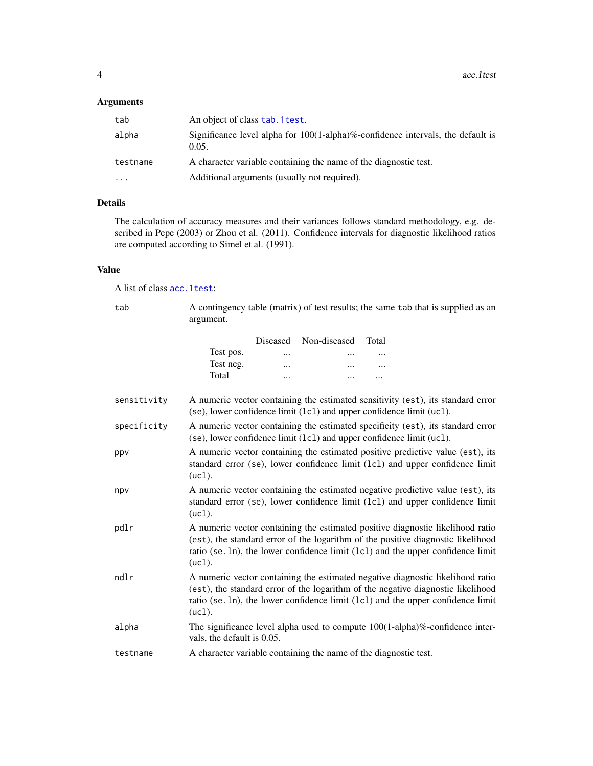# <span id="page-3-0"></span>Arguments

| tab      | An object of class tab. 1 test.                                                                  |
|----------|--------------------------------------------------------------------------------------------------|
| alpha    | Significance level alpha for $100(1$ -alpha $)\%$ -confidence intervals, the default is<br>0.05. |
| testname | A character variable containing the name of the diagnostic test.                                 |
| .        | Additional arguments (usually not required).                                                     |

# Details

The calculation of accuracy measures and their variances follows standard methodology, e.g. described in Pepe (2003) or Zhou et al. (2011). Confidence intervals for diagnostic likelihood ratios are computed according to Simel et al. (1991).

# Value

A list of class [acc.1test](#page-2-1):

| tab         | argument.                  |          |              | A contingency table (matrix) of test results; the same tab that is supplied as an                                                                                                                                                                     |  |
|-------------|----------------------------|----------|--------------|-------------------------------------------------------------------------------------------------------------------------------------------------------------------------------------------------------------------------------------------------------|--|
|             |                            | Diseased | Non-diseased | Total                                                                                                                                                                                                                                                 |  |
|             | Test pos.                  |          |              |                                                                                                                                                                                                                                                       |  |
|             | Test neg.                  |          |              |                                                                                                                                                                                                                                                       |  |
|             | Total                      |          |              |                                                                                                                                                                                                                                                       |  |
| sensitivity |                            |          |              | A numeric vector containing the estimated sensitivity (est), its standard error<br>(se), lower confidence limit (1c1) and upper confidence limit (uc1).                                                                                               |  |
| specificity |                            |          |              | A numeric vector containing the estimated specificity (est), its standard error<br>(se), lower confidence limit (1c1) and upper confidence limit (uc1).                                                                                               |  |
| ppv         | (uc1).                     |          |              | A numeric vector containing the estimated positive predictive value (est), its<br>standard error (se), lower confidence limit (1c1) and upper confidence limit                                                                                        |  |
| npv         | (uc1).                     |          |              | A numeric vector containing the estimated negative predictive value (est), its<br>standard error (se), lower confidence limit (1c1) and upper confidence limit                                                                                        |  |
| pdlr        | (uc1).                     |          |              | A numeric vector containing the estimated positive diagnostic likelihood ratio<br>(est), the standard error of the logarithm of the positive diagnostic likelihood<br>ratio (se. 1n), the lower confidence limit (1c1) and the upper confidence limit |  |
| ndlr        | (uc1).                     |          |              | A numeric vector containing the estimated negative diagnostic likelihood ratio<br>(est), the standard error of the logarithm of the negative diagnostic likelihood<br>ratio (se. 1n), the lower confidence limit (1c1) and the upper confidence limit |  |
| alpha       | vals, the default is 0.05. |          |              | The significance level alpha used to compute $100(1-\text{alpha})\%$ -confidence inter-                                                                                                                                                               |  |
| testname    |                            |          |              | A character variable containing the name of the diagnostic test.                                                                                                                                                                                      |  |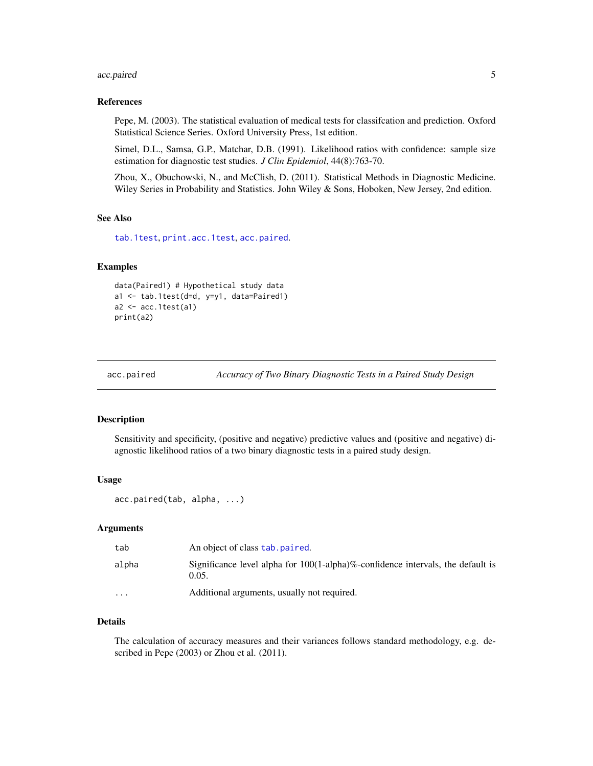# <span id="page-4-0"></span>acc.paired 5

#### References

Pepe, M. (2003). The statistical evaluation of medical tests for classifcation and prediction. Oxford Statistical Science Series. Oxford University Press, 1st edition.

Simel, D.L., Samsa, G.P., Matchar, D.B. (1991). Likelihood ratios with confidence: sample size estimation for diagnostic test studies. *J Clin Epidemiol*, 44(8):763-70.

Zhou, X., Obuchowski, N., and McClish, D. (2011). Statistical Methods in Diagnostic Medicine. Wiley Series in Probability and Statistics. John Wiley & Sons, Hoboken, New Jersey, 2nd edition.

#### See Also

[tab.1test](#page-23-1), [print.acc.1test](#page-9-1), [acc.paired](#page-4-1).

#### Examples

```
data(Paired1) # Hypothetical study data
a1 <- tab.1test(d=d, y=y1, data=Paired1)
a2 \leftarrow acc.1test(a1)print(a2)
```
<span id="page-4-1"></span>

acc.paired *Accuracy of Two Binary Diagnostic Tests in a Paired Study Design*

#### Description

Sensitivity and specificity, (positive and negative) predictive values and (positive and negative) diagnostic likelihood ratios of a two binary diagnostic tests in a paired study design.

#### Usage

```
acc.paired(tab, alpha, ...)
```
#### Arguments

| tab     | An object of class tab. paired.                                                                  |
|---------|--------------------------------------------------------------------------------------------------|
| alpha   | Significance level alpha for $100(1$ -alpha $)\%$ -confidence intervals, the default is<br>0.05. |
| $\cdot$ | Additional arguments, usually not required.                                                      |

# Details

The calculation of accuracy measures and their variances follows standard methodology, e.g. described in Pepe (2003) or Zhou et al. (2011).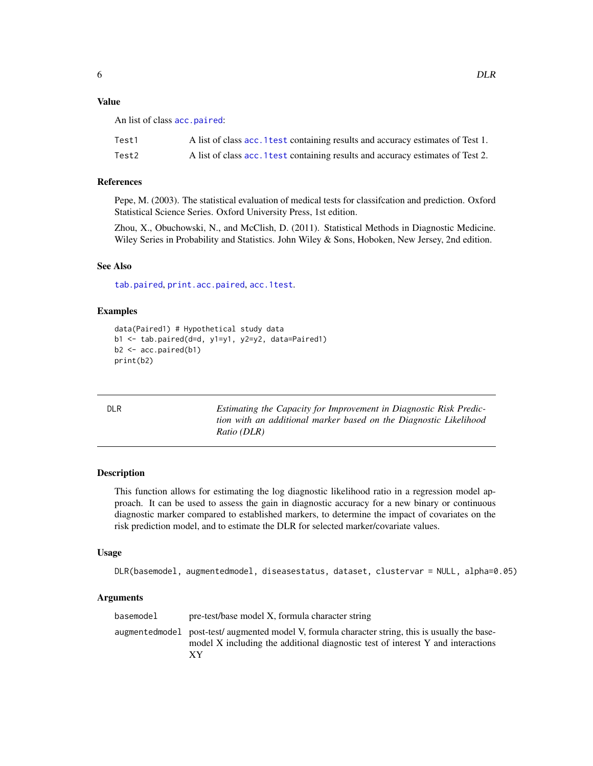# <span id="page-5-0"></span>Value

An list of class [acc.paired](#page-4-1):

| Test1 | A list of class acc. 1 test containing results and accuracy estimates of Test 1. |
|-------|----------------------------------------------------------------------------------|
| Test2 | A list of class acc. 1 test containing results and accuracy estimates of Test 2. |

# References

Pepe, M. (2003). The statistical evaluation of medical tests for classifcation and prediction. Oxford Statistical Science Series. Oxford University Press, 1st edition.

Zhou, X., Obuchowski, N., and McClish, D. (2011). Statistical Methods in Diagnostic Medicine. Wiley Series in Probability and Statistics. John Wiley & Sons, Hoboken, New Jersey, 2nd edition.

#### See Also

[tab.paired](#page-24-1), [print.acc.paired](#page-10-1), [acc.1test](#page-2-1).

#### Examples

```
data(Paired1) # Hypothetical study data
b1 <- tab.paired(d=d, y1=y1, y2=y2, data=Paired1)
b2 <- acc.paired(b1)
print(b2)
```
<span id="page-5-1"></span>

| ۰. |  |
|----|--|
|----|--|

DLR *Estimating the Capacity for Improvement in Diagnostic Risk Prediction with an additional marker based on the Diagnostic Likelihood Ratio (DLR)*

# Description

This function allows for estimating the log diagnostic likelihood ratio in a regression model approach. It can be used to assess the gain in diagnostic accuracy for a new binary or continuous diagnostic marker compared to established markers, to determine the impact of covariates on the risk prediction model, and to estimate the DLR for selected marker/covariate values.

#### Usage

DLR(basemodel, augmentedmodel, diseasestatus, dataset, clustervar = NULL, alpha=0.05)

#### Arguments

| basemodel<br>pre-test/base model X, formula character string                                                                                                                             |  |
|------------------------------------------------------------------------------------------------------------------------------------------------------------------------------------------|--|
| augmentedmodel post-test/augmented model V, formula character string, this is usually the base-<br>model X including the additional diagnostic test of interest Y and interactions<br>ХY |  |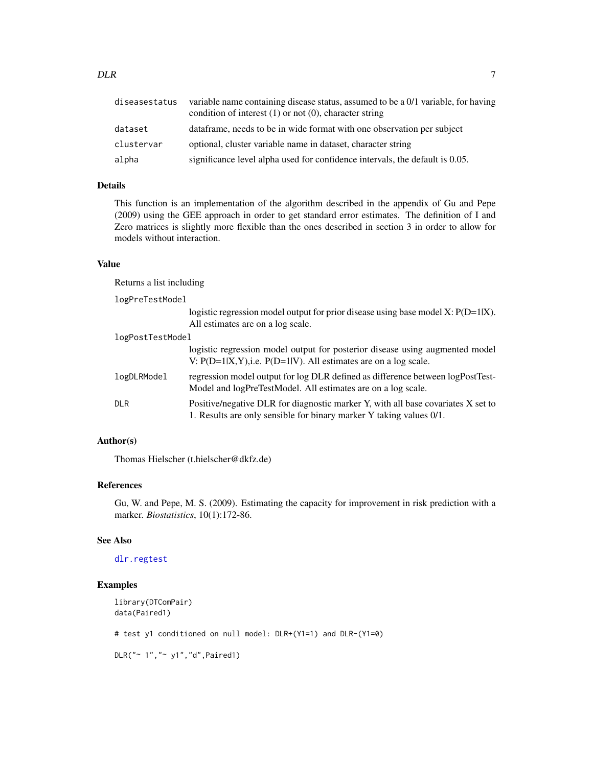<span id="page-6-0"></span>

| diseasestatus | variable name containing disease status, assumed to be a 0/1 variable, for having<br>condition of interest $(1)$ or not $(0)$ , character string |
|---------------|--------------------------------------------------------------------------------------------------------------------------------------------------|
| dataset       | data frame, needs to be in wide format with one observation per subject                                                                          |
| clustervar    | optional, cluster variable name in dataset, character string                                                                                     |
| alpha         | significance level alpha used for confidence intervals, the default is 0.05.                                                                     |

### Details

This function is an implementation of the algorithm described in the appendix of Gu and Pepe (2009) using the GEE approach in order to get standard error estimates. The definition of I and Zero matrices is slightly more flexible than the ones described in section 3 in order to allow for models without interaction.

#### Value

Returns a list including

logPreTestModel

|                  | logistic regression model output for prior disease using base model $X: P(D=1 X)$ .<br>All estimates are on a log scale.                                |
|------------------|---------------------------------------------------------------------------------------------------------------------------------------------------------|
|                  |                                                                                                                                                         |
| logPostTestModel |                                                                                                                                                         |
|                  | logistic regression model output for posterior disease using augmented model<br>V: $P(D=1 X,Y)$ , i.e. $P(D=1 V)$ . All estimates are on a log scale.   |
| logDLRModel      | regression model output for log DLR defined as difference between logPostTest-<br>Model and logPreTestModel. All estimates are on a log scale.          |
| DLR              | Positive/negative DLR for diagnostic marker Y, with all base covariates X set to<br>1. Results are only sensible for binary marker Y taking values 0/1. |

# Author(s)

Thomas Hielscher (t.hielscher@dkfz.de)

# References

Gu, W. and Pepe, M. S. (2009). Estimating the capacity for improvement in risk prediction with a marker. *Biostatistics*, 10(1):172-86.

#### See Also

#### [dlr.regtest](#page-7-1)

#### Examples

```
library(DTComPair)
data(Paired1)
# test y1 conditioned on null model: DLR+(Y1=1) and DLR-(Y1=0)
DLR("~ 1","~ y1","d",Paired1)
```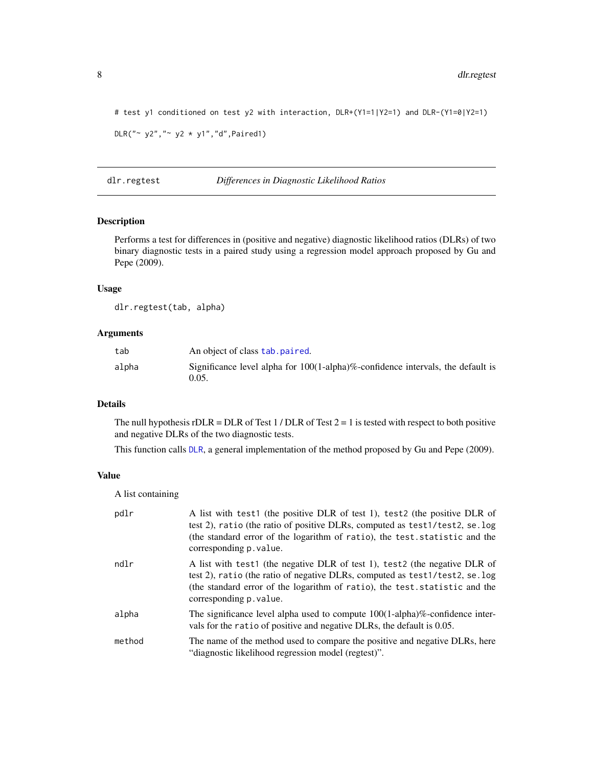```
# test y1 conditioned on test y2 with interaction, DLR+(Y1=1|Y2=1) and DLR-(Y1=0|Y2=1)
DLR(" ~ y2", " ~ y2 ~ * ~ y1", "d", \text{Paired1})
```
#### <span id="page-7-1"></span>dlr.regtest *Differences in Diagnostic Likelihood Ratios*

# Description

Performs a test for differences in (positive and negative) diagnostic likelihood ratios (DLRs) of two binary diagnostic tests in a paired study using a regression model approach proposed by Gu and Pepe (2009).

#### Usage

dlr.regtest(tab, alpha)

# Arguments

| tab   | An object of class tab. paired.                                                                  |
|-------|--------------------------------------------------------------------------------------------------|
| alpha | Significance level alpha for $100(1$ -alpha $)\%$ -confidence intervals, the default is<br>0.05. |

# Details

The null hypothesis  $rDLR = DLR$  of Test 1 / DLR of Test  $2 = 1$  is tested with respect to both positive and negative DLRs of the two diagnostic tests.

This function calls [DLR](#page-5-1), a general implementation of the method proposed by Gu and Pepe (2009).

#### Value

A list containing

| pdlr   | A list with test1 (the positive DLR of test 1), test2 (the positive DLR of<br>test 2), ratio (the ratio of positive DLRs, computed as test1/test2, se.log<br>(the standard error of the logarithm of ratio), the test statistic and the<br>corresponding p. value. |
|--------|--------------------------------------------------------------------------------------------------------------------------------------------------------------------------------------------------------------------------------------------------------------------|
| ndlr   | A list with test1 (the negative DLR of test 1), test2 (the negative DLR of<br>test 2), ratio (the ratio of negative DLRs, computed as test1/test2, se.log<br>(the standard error of the logarithm of ratio), the test statistic and the<br>corresponding p. value. |
| alpha  | The significance level alpha used to compute $100(1-\text{alpha})\%$ -confidence inter-<br>vals for the ratio of positive and negative DLRs, the default is 0.05.                                                                                                  |
| method | The name of the method used to compare the positive and negative DLRs, here<br>"diagnostic likelihood regression model (regtest)".                                                                                                                                 |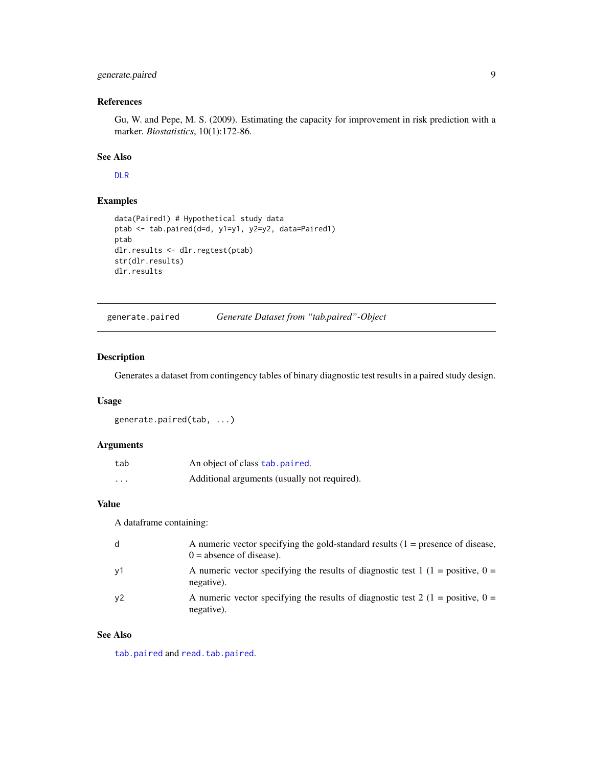# <span id="page-8-0"></span>generate.paired 9

#### References

Gu, W. and Pepe, M. S. (2009). Estimating the capacity for improvement in risk prediction with a marker. *Biostatistics*, 10(1):172-86.

# See Also

[DLR](#page-5-1)

# Examples

```
data(Paired1) # Hypothetical study data
ptab <- tab.paired(d=d, y1=y1, y2=y2, data=Paired1)
ptab
dlr.results <- dlr.regtest(ptab)
str(dlr.results)
dlr.results
```
<span id="page-8-1"></span>generate.paired *Generate Dataset from "tab.paired"-Object*

#### Description

Generates a dataset from contingency tables of binary diagnostic test results in a paired study design.

#### Usage

```
generate.paired(tab, ...)
```
#### Arguments

| tab                     | An object of class tab. paired.              |
|-------------------------|----------------------------------------------|
| $\cdot$ $\cdot$ $\cdot$ | Additional arguments (usually not required). |

#### Value

A dataframe containing:

| d  | A numeric vector specifying the gold-standard results $(1 =$ presence of disease,<br>$0 =$ absence of disease). |
|----|-----------------------------------------------------------------------------------------------------------------|
| y1 | A numeric vector specifying the results of diagnostic test 1 (1 = positive, 0 =<br>negative).                   |
| y2 | A numeric vector specifying the results of diagnostic test 2 (1 = positive, 0 =<br>negative).                   |

#### See Also

[tab.paired](#page-24-1) and [read.tab.paired](#page-16-1).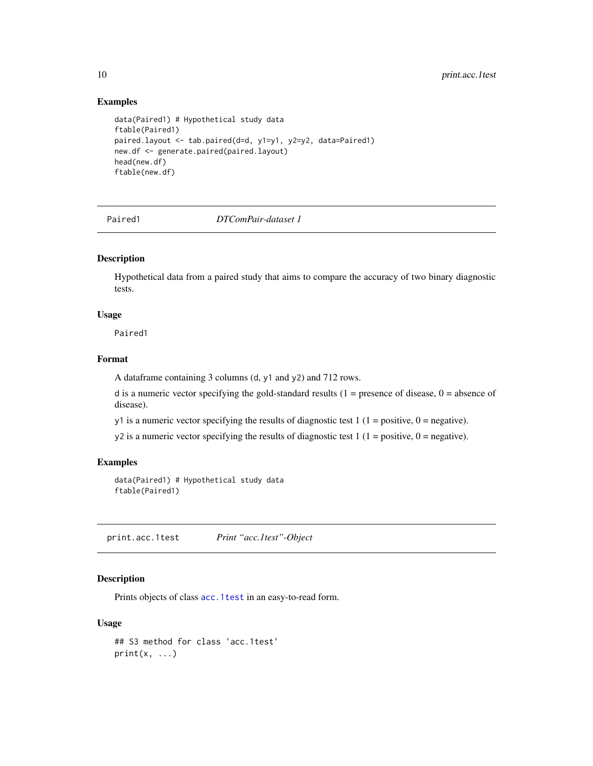#### Examples

```
data(Paired1) # Hypothetical study data
ftable(Paired1)
paired.layout <- tab.paired(d=d, y1=y1, y2=y2, data=Paired1)
new.df <- generate.paired(paired.layout)
head(new.df)
ftable(new.df)
```
Paired1 *DTComPair-dataset 1*

#### Description

Hypothetical data from a paired study that aims to compare the accuracy of two binary diagnostic tests.

# Usage

Paired1

#### Format

A dataframe containing 3 columns (d, y1 and y2) and 712 rows.

d is a numeric vector specifying the gold-standard results  $(1 =$  presence of disease,  $0 =$  absence of disease).

y1 is a numeric vector specifying the results of diagnostic test  $1(1 = positive, 0 = negative)$ .

y2 is a numeric vector specifying the results of diagnostic test  $1(1 = positive, 0 = negative)$ .

# Examples

```
data(Paired1) # Hypothetical study data
ftable(Paired1)
```
<span id="page-9-1"></span>print.acc.1test *Print "acc.1test"-Object*

# Description

Prints objects of class [acc.1test](#page-2-1) in an easy-to-read form.

#### Usage

```
## S3 method for class 'acc.1test'
print(x, \ldots)
```
<span id="page-9-0"></span>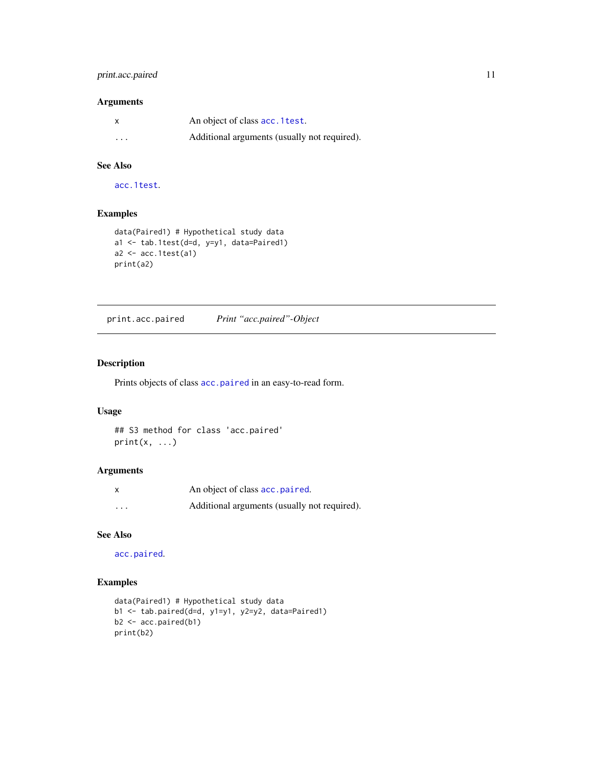# <span id="page-10-0"></span>print.acc.paired 11

# Arguments

| X                       | An object of class acc. 1 test.              |
|-------------------------|----------------------------------------------|
| $\cdot$ $\cdot$ $\cdot$ | Additional arguments (usually not required). |

# See Also

[acc.1test](#page-2-1).

# Examples

```
data(Paired1) # Hypothetical study data
a1 <- tab.1test(d=d, y=y1, data=Paired1)
a2 \leftarrow acc.1test(a1)print(a2)
```
<span id="page-10-1"></span>print.acc.paired *Print "acc.paired"-Object*

#### Description

Prints objects of class [acc.paired](#page-4-1) in an easy-to-read form.

#### Usage

```
## S3 method for class 'acc.paired'
print(x, \ldots)
```
# Arguments

| x        | An object of class acc. paired.              |
|----------|----------------------------------------------|
| $\cdots$ | Additional arguments (usually not required). |

# See Also

[acc.paired](#page-4-1).

# Examples

```
data(Paired1) # Hypothetical study data
b1 <- tab.paired(d=d, y1=y1, y2=y2, data=Paired1)
b2 <- acc.paired(b1)
print(b2)
```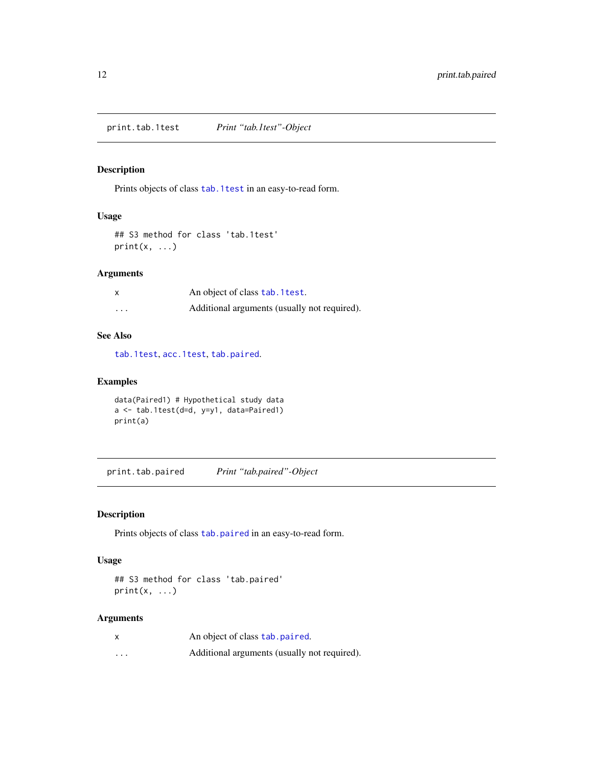<span id="page-11-1"></span><span id="page-11-0"></span>print.tab.1test *Print "tab.1test"-Object*

# Description

Prints objects of class [tab.1test](#page-23-1) in an easy-to-read form.

#### Usage

```
## S3 method for class 'tab.1test'
print(x, \ldots)
```
# Arguments

|          | An object of class tab. 1 test.              |
|----------|----------------------------------------------|
| $\cdots$ | Additional arguments (usually not required). |

# See Also

[tab.1test](#page-23-1), [acc.1test](#page-2-1), [tab.paired](#page-24-1).

# Examples

```
data(Paired1) # Hypothetical study data
a <- tab.1test(d=d, y=y1, data=Paired1)
print(a)
```
<span id="page-11-2"></span>print.tab.paired *Print "tab.paired"-Object*

# Description

Prints objects of class [tab.paired](#page-24-1) in an easy-to-read form.

#### Usage

```
## S3 method for class 'tab.paired'
print(x, \ldots)
```
#### Arguments

| x       | An object of class tab. paired.              |
|---------|----------------------------------------------|
| $\cdot$ | Additional arguments (usually not required). |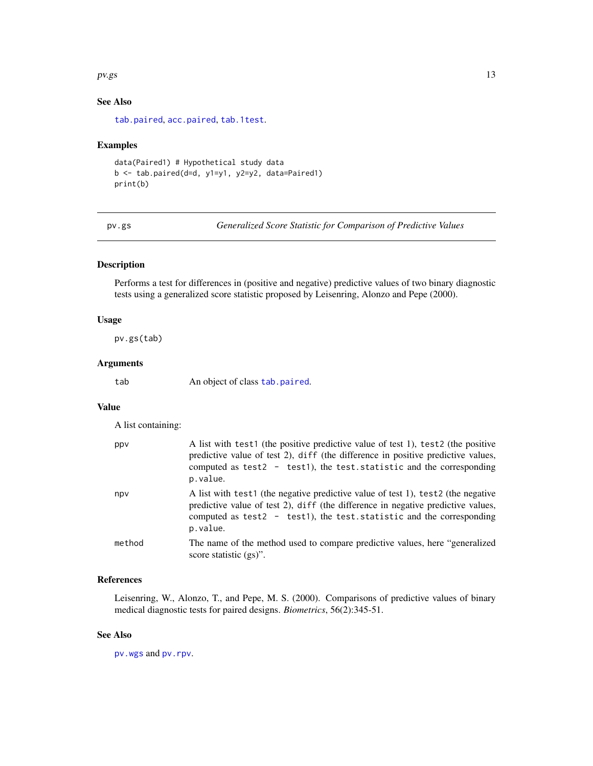#### <span id="page-12-0"></span> $pv.gs$  13

# See Also

[tab.paired](#page-24-1), [acc.paired](#page-4-1), [tab.1test](#page-23-1).

#### Examples

```
data(Paired1) # Hypothetical study data
b <- tab.paired(d=d, y1=y1, y2=y2, data=Paired1)
print(b)
```
<span id="page-12-1"></span>pv.gs *Generalized Score Statistic for Comparison of Predictive Values*

#### Description

Performs a test for differences in (positive and negative) predictive values of two binary diagnostic tests using a generalized score statistic proposed by Leisenring, Alonzo and Pepe (2000).

#### Usage

pv.gs(tab)

#### Arguments

tab An object of class [tab.paired](#page-24-1).

#### Value

A list containing:

| ppv    | A list with test1 (the positive predictive value of test 1), test2 (the positive<br>predictive value of test 2), diff (the difference in positive predictive values,<br>computed as test2 - test1), the test. statistic and the corresponding<br>p.value. |
|--------|-----------------------------------------------------------------------------------------------------------------------------------------------------------------------------------------------------------------------------------------------------------|
| npv    | A list with test1 (the negative predictive value of test 1), test2 (the negative<br>predictive value of test 2), diff (the difference in negative predictive values,<br>computed as test2 - test1), the test. statistic and the corresponding<br>p.value. |
| method | The name of the method used to compare predictive values, here "generalized"<br>score statistic $(gs)$ ".                                                                                                                                                 |

# References

Leisenring, W., Alonzo, T., and Pepe, M. S. (2000). Comparisons of predictive values of binary medical diagnostic tests for paired designs. *Biometrics*, 56(2):345-51.

#### See Also

[pv.wgs](#page-14-1) and [pv.rpv](#page-13-1).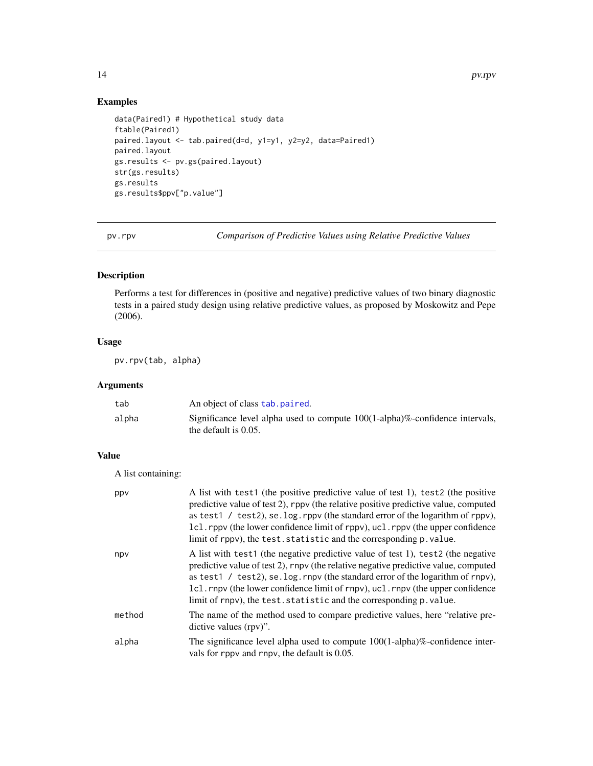# Examples

```
data(Paired1) # Hypothetical study data
ftable(Paired1)
paired.layout <- tab.paired(d=d, y1=y1, y2=y2, data=Paired1)
paired.layout
gs.results <- pv.gs(paired.layout)
str(gs.results)
gs.results
gs.results$ppv["p.value"]
```
<span id="page-13-1"></span>pv.rpv *Comparison of Predictive Values using Relative Predictive Values*

# Description

Performs a test for differences in (positive and negative) predictive values of two binary diagnostic tests in a paired study design using relative predictive values, as proposed by Moskowitz and Pepe (2006).

#### Usage

pv.rpv(tab, alpha)

### Arguments

| tab   | An object of class tab. paired.                                                                                 |
|-------|-----------------------------------------------------------------------------------------------------------------|
| alpha | Significance level alpha used to compute $100(1$ -alpha $)\%$ -confidence intervals,<br>the default is $0.05$ . |

#### Value

A list containing:

| ppv    | A list with test1 (the positive predictive value of test 1), test2 (the positive<br>predictive value of test 2), rppv (the relative positive predictive value, computed<br>as test1 / test2), se. log. rppv (the standard error of the logarithm of rppv),<br>1c1. rppv (the lower confidence limit of rppv), uc1. rppv (the upper confidence<br>limit of rppv), the test. statistic and the corresponding p. value. |
|--------|----------------------------------------------------------------------------------------------------------------------------------------------------------------------------------------------------------------------------------------------------------------------------------------------------------------------------------------------------------------------------------------------------------------------|
| npv    | A list with test1 (the negative predictive value of test 1), test2 (the negative<br>predictive value of test 2), rnpv (the relative negative predictive value, computed<br>as test1 / test2), se. log. rnpv (the standard error of the logarithm of rnpv),<br>1c1. rnpv (the lower confidence limit of rnpv), uc1. rnpv (the upper confidence<br>limit of rnpv), the test. statistic and the corresponding p. value. |
| method | The name of the method used to compare predictive values, here "relative pre-<br>dictive values (rpv)".                                                                                                                                                                                                                                                                                                              |
| alpha  | The significance level alpha used to compute $100(1-\text{alpha})\%$ -confidence inter-<br>vals for rpp and rnpv, the default is 0.05.                                                                                                                                                                                                                                                                               |

<span id="page-13-0"></span>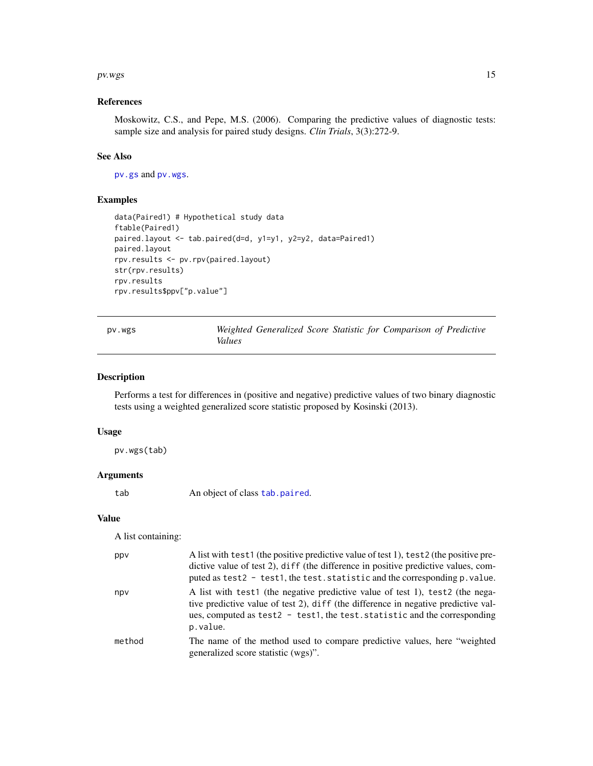#### <span id="page-14-0"></span> $pv(wgs)$  15

#### References

Moskowitz, C.S., and Pepe, M.S. (2006). Comparing the predictive values of diagnostic tests: sample size and analysis for paired study designs. *Clin Trials*, 3(3):272-9.

# See Also

[pv.gs](#page-12-1) and [pv.wgs](#page-14-1).

#### Examples

```
data(Paired1) # Hypothetical study data
ftable(Paired1)
paired.layout <- tab.paired(d=d, y1=y1, y2=y2, data=Paired1)
paired.layout
rpv.results <- pv.rpv(paired.layout)
str(rpv.results)
rpv.results
rpv.results$ppv["p.value"]
```
<span id="page-14-1"></span>pv.wgs *Weighted Generalized Score Statistic for Comparison of Predictive Values*

#### Description

Performs a test for differences in (positive and negative) predictive values of two binary diagnostic tests using a weighted generalized score statistic proposed by Kosinski (2013).

#### Usage

pv.wgs(tab)

#### Arguments

tab An object of class [tab.paired](#page-24-1).

#### Value

A list containing:

| ppv    | A list with test1 (the positive predictive value of test 1), test2 (the positive pre-<br>dictive value of test 2), diff (the difference in positive predictive values, com-<br>puted as test2 - test1, the test. statistic and the corresponding p. value.   |
|--------|--------------------------------------------------------------------------------------------------------------------------------------------------------------------------------------------------------------------------------------------------------------|
| npv    | A list with test1 (the negative predictive value of test 1), test2 (the nega-<br>tive predictive value of test 2), diff (the difference in negative predictive val-<br>ues, computed as test2 - test1, the test. statistic and the corresponding<br>p.value. |
| method | The name of the method used to compare predictive values, here "weighted"<br>generalized score statistic (wgs)".                                                                                                                                             |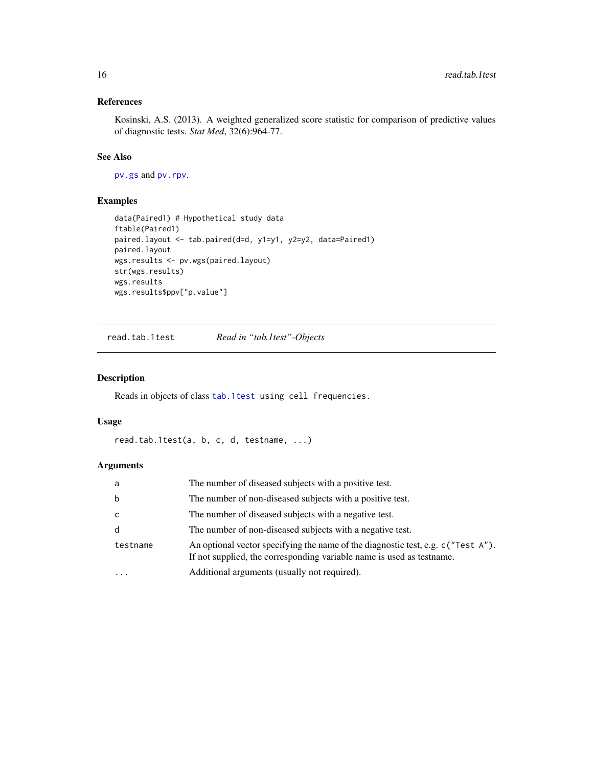# <span id="page-15-0"></span>References

Kosinski, A.S. (2013). A weighted generalized score statistic for comparison of predictive values of diagnostic tests. *Stat Med*, 32(6):964-77.

# See Also

[pv.gs](#page-12-1) and [pv.rpv](#page-13-1).

# Examples

```
data(Paired1) # Hypothetical study data
ftable(Paired1)
paired.layout <- tab.paired(d=d, y1=y1, y2=y2, data=Paired1)
paired.layout
wgs.results <- pv.wgs(paired.layout)
str(wgs.results)
wgs.results
wgs.results$ppv["p.value"]
```
read.tab.1test *Read in "tab.1test"-Objects*

# Description

Reads in objects of class [tab.1test](#page-23-1) using cell frequencies.

#### Usage

```
read.tab.1test(a, b, c, d, testname, ...)
```
#### Arguments

| a         | The number of diseased subjects with a positive test.                                                                                                            |
|-----------|------------------------------------------------------------------------------------------------------------------------------------------------------------------|
| b         | The number of non-diseased subjects with a positive test.                                                                                                        |
| C         | The number of diseased subjects with a negative test.                                                                                                            |
| d         | The number of non-diseased subjects with a negative test.                                                                                                        |
| testname  | An optional vector specifying the name of the diagnostic test, e.g. $c$ ("Test $A$ ").<br>If not supplied, the corresponding variable name is used as test name. |
| $\ddotsc$ | Additional arguments (usually not required).                                                                                                                     |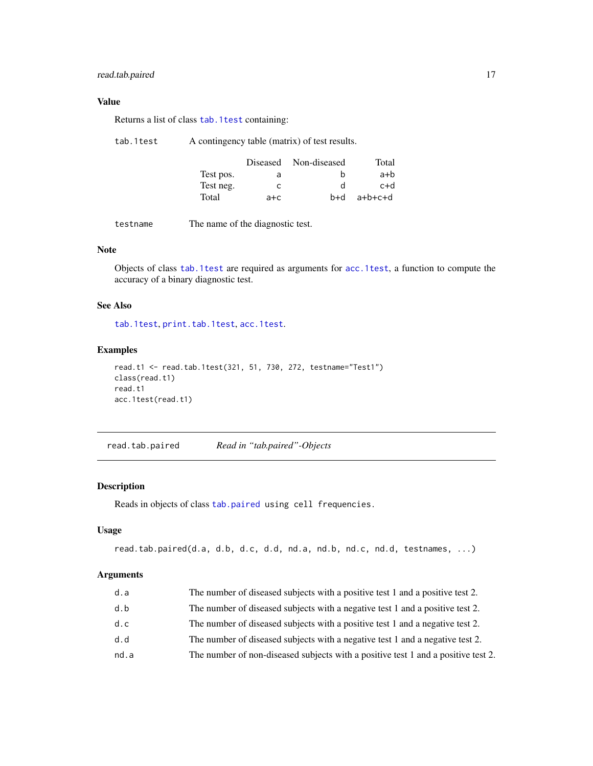# <span id="page-16-0"></span>read.tab.paired 17

# Value

Returns a list of class [tab.1test](#page-23-1) containing:

| tab.1test |  | A contingency table (matrix) of test results. |
|-----------|--|-----------------------------------------------|
|-----------|--|-----------------------------------------------|

|           |         | Diseased Non-diseased | Total   |
|-----------|---------|-----------------------|---------|
| Test pos. | a       | h                     | a+b     |
| Test neg. |         | d                     | c+d     |
| Total     | $a + c$ | b+d                   | a+b+c+d |

testname The name of the diagnostic test.

# Note

Objects of class [tab.1test](#page-23-1) are required as arguments for [acc.1test](#page-2-1), a function to compute the accuracy of a binary diagnostic test.

#### See Also

[tab.1test](#page-23-1), [print.tab.1test](#page-11-1), [acc.1test](#page-2-1).

# Examples

```
read.t1 <- read.tab.1test(321, 51, 730, 272, testname="Test1")
class(read.t1)
read.t1
acc.1test(read.t1)
```
<span id="page-16-1"></span>read.tab.paired *Read in "tab.paired"-Objects*

#### Description

Reads in objects of class [tab.paired](#page-24-1) using cell frequencies.

#### Usage

```
read.tab.paired(d.a, d.b, d.c, d.d, nd.a, nd.b, nd.c, nd.d, testnames, ...)
```
# Arguments

| d.a  | The number of diseased subjects with a positive test 1 and a positive test 2.     |
|------|-----------------------------------------------------------------------------------|
| d.b  | The number of diseased subjects with a negative test 1 and a positive test 2.     |
| d.c  | The number of diseased subjects with a positive test 1 and a negative test 2.     |
| d.d  | The number of diseased subjects with a negative test 1 and a negative test 2.     |
| nd.a | The number of non-diseased subjects with a positive test 1 and a positive test 2. |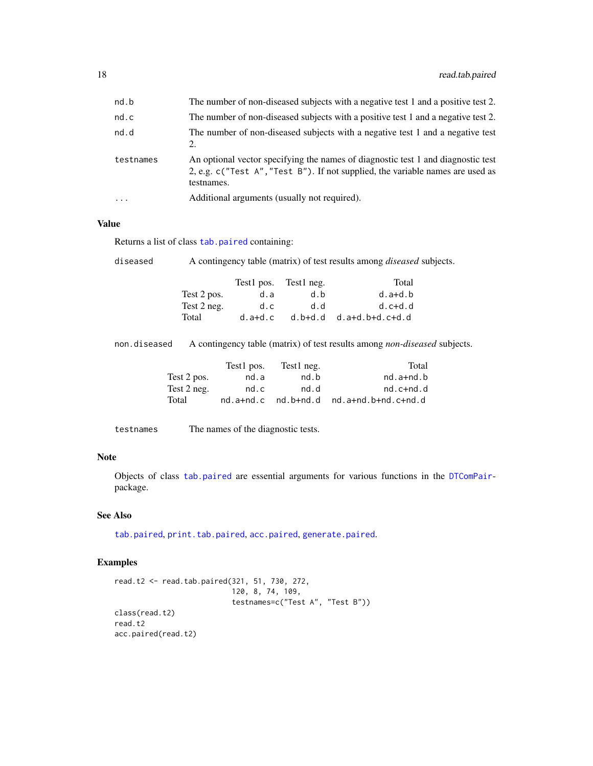<span id="page-17-0"></span>

| nd.b      | The number of non-diseased subjects with a negative test 1 and a positive test 2.                                                                                                |
|-----------|----------------------------------------------------------------------------------------------------------------------------------------------------------------------------------|
| nd.c      | The number of non-diseased subjects with a positive test 1 and a negative test 2.                                                                                                |
| nd.d      | The number of non-diseased subjects with a negative test 1 and a negative test<br>2.                                                                                             |
| testnames | An optional vector specifying the names of diagnostic test 1 and diagnostic test<br>2, e.g. c("Test A", "Test B"). If not supplied, the variable names are used as<br>testnames. |
| $\cdots$  | Additional arguments (usually not required).                                                                                                                                     |

# Value

Returns a list of class [tab.paired](#page-24-1) containing:

diseased A contingency table (matrix) of test results among *diseased* subjects.

|             | Test1 pos. | Test1 neg. | Total             |
|-------------|------------|------------|-------------------|
| Test 2 pos. | d.a        | d.b        | $d.a+d.b$         |
| Test 2 neg. | d.c.       | d.d        | $d.c+d.d$         |
| Total       | $d.a+d.c$  | d.b+d.d    | $d.a+d.b+d.c+d.d$ |

non.diseased A contingency table (matrix) of test results among *non-diseased* subjects.

|             | Test1 pos. | Test1 neg.              | Total                 |
|-------------|------------|-------------------------|-----------------------|
| Test 2 pos. | nd.a       | nd.b                    | $nd.a+nd.b$           |
| Test 2 neg. | nd.c       | nd.d                    | $nd.c+nd.d$           |
| Total       |            | $nd.a+nd.c$ $nd.b+nd.d$ | $nd.a+nd.b+nd.c+nd.d$ |

testnames The names of the diagnostic tests.

#### Note

Objects of class [tab.paired](#page-24-1) are essential arguments for various functions in the [DTComPair](#page-1-1)package.

#### See Also

[tab.paired](#page-24-1), [print.tab.paired](#page-11-2), [acc.paired](#page-4-1), [generate.paired](#page-8-1).

#### Examples

```
read.t2 <- read.tab.paired(321, 51, 730, 272,
                           120, 8, 74, 109,
                           testnames=c("Test A", "Test B"))
class(read.t2)
read.t2
acc.paired(read.t2)
```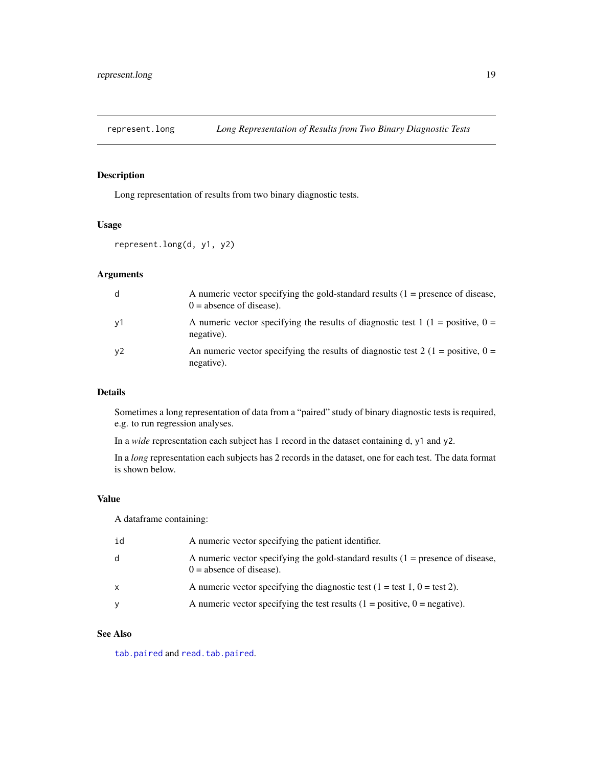<span id="page-18-1"></span><span id="page-18-0"></span>represent.long *Long Representation of Results from Two Binary Diagnostic Tests*

# Description

Long representation of results from two binary diagnostic tests.

#### Usage

```
represent.long(d, y1, y2)
```
#### Arguments

| d  | A numeric vector specifying the gold-standard results $(1 =$ presence of disease,<br>$0 =$ absence of disease). |
|----|-----------------------------------------------------------------------------------------------------------------|
| y1 | A numeric vector specifying the results of diagnostic test 1 (1 = positive, 0 =<br>negative).                   |
| y2 | An numeric vector specifying the results of diagnostic test 2 (1 = positive, 0 =<br>negative).                  |

#### Details

Sometimes a long representation of data from a "paired" study of binary diagnostic tests is required, e.g. to run regression analyses.

In a *wide* representation each subject has 1 record in the dataset containing d, y1 and y2.

In a *long* representation each subjects has 2 records in the dataset, one for each test. The data format is shown below.

#### Value

A dataframe containing:

| id | A numeric vector specifying the patient identifier.                                                             |
|----|-----------------------------------------------------------------------------------------------------------------|
| d  | A numeric vector specifying the gold-standard results $(1 =$ presence of disease,<br>$0 =$ absence of disease). |
| X  | A numeric vector specifying the diagnostic test $(1 = \text{test } 1, 0 = \text{test } 2)$ .                    |
| V  | A numeric vector specifying the test results $(1 = \text{positive}, 0 = \text{negative})$ .                     |

#### See Also

[tab.paired](#page-24-1) and [read.tab.paired](#page-16-1).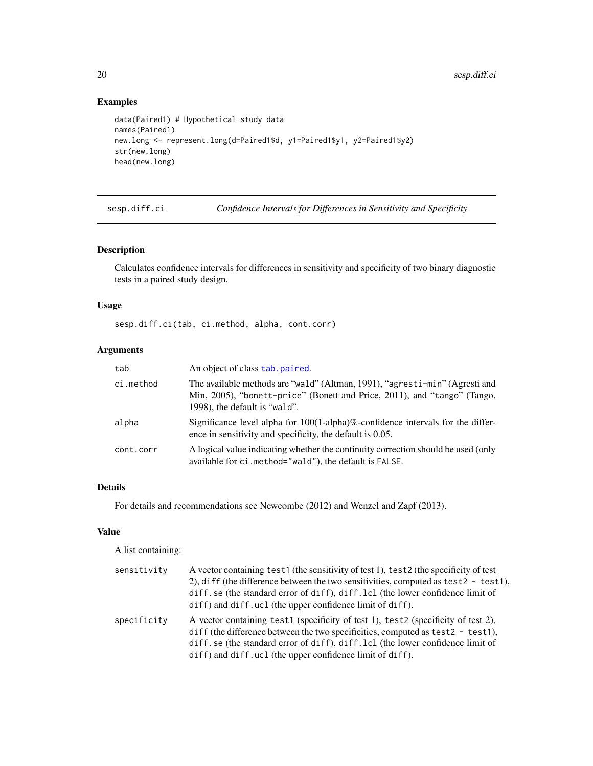# Examples

```
data(Paired1) # Hypothetical study data
names(Paired1)
new.long <- represent.long(d=Paired1$d, y1=Paired1$y1, y2=Paired1$y2)
str(new.long)
head(new.long)
```
<span id="page-19-1"></span>

sesp.diff.ci *Confidence Intervals for Differences in Sensitivity and Specificity*

# Description

Calculates confidence intervals for differences in sensitivity and specificity of two binary diagnostic tests in a paired study design.

#### Usage

sesp.diff.ci(tab, ci.method, alpha, cont.corr)

# Arguments

| tab       | An object of class tab. paired.                                                                                                                                                          |
|-----------|------------------------------------------------------------------------------------------------------------------------------------------------------------------------------------------|
| ci.method | The available methods are "wald" (Altman, 1991), "agresti-min" (Agresti and<br>Min, 2005), "bonett-price" (Bonett and Price, 2011), and "tango" (Tango,<br>1998), the default is "wald". |
| alpha     | Significance level alpha for $100(1-\alpha)$ -alpha)%-confidence intervals for the differ-<br>ence in sensitivity and specificity, the default is 0.05.                                  |
| cont.corr | A logical value indicating whether the continuity correction should be used (only<br>available for ci.method="wald"), the default is FALSE.                                              |

#### Details

For details and recommendations see Newcombe (2012) and Wenzel and Zapf (2013).

# Value

A list containing:

| sensitivity | A vector containing test1 (the sensitivity of test 1), test2 (the specificity of test<br>2), diff (the difference between the two sensitivities, computed as test $2 - \text{test1}$ ),<br>diff.se (the standard error of diff), diff.lcl (the lower confidence limit of<br>diff) and diff.ucl (the upper confidence limit of diff). |
|-------------|--------------------------------------------------------------------------------------------------------------------------------------------------------------------------------------------------------------------------------------------------------------------------------------------------------------------------------------|
| specificity | A vector containing test1 (specificity of test 1), test2 (specificity of test 2),<br>diff (the difference between the two specificities, computed as test2 - test1),<br>diff. se (the standard error of diff), diff. lcl (the lower confidence limit of<br>diff) and diff.ucl (the upper confidence limit of diff).                  |

<span id="page-19-0"></span>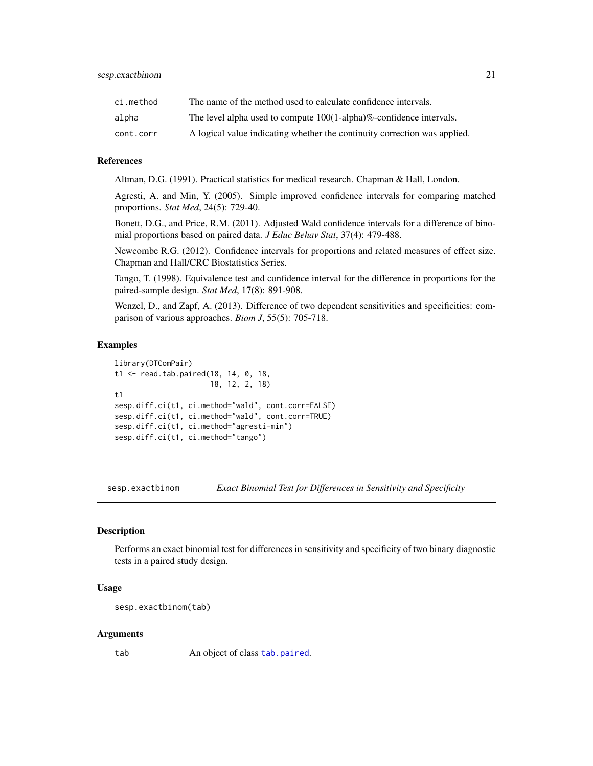<span id="page-20-0"></span>

| ci.method | The name of the method used to calculate confidence intervals.            |
|-----------|---------------------------------------------------------------------------|
| alpha     | The level alpha used to compute $100(1$ -alpha)%-confidence intervals.    |
| cont.corr | A logical value indicating whether the continuity correction was applied. |

#### References

Altman, D.G. (1991). Practical statistics for medical research. Chapman & Hall, London.

Agresti, A. and Min, Y. (2005). Simple improved confidence intervals for comparing matched proportions. *Stat Med*, 24(5): 729-40.

Bonett, D.G., and Price, R.M. (2011). Adjusted Wald confidence intervals for a difference of binomial proportions based on paired data. *J Educ Behav Stat*, 37(4): 479-488.

Newcombe R.G. (2012). Confidence intervals for proportions and related measures of effect size. Chapman and Hall/CRC Biostatistics Series.

Tango, T. (1998). Equivalence test and confidence interval for the difference in proportions for the paired-sample design. *Stat Med*, 17(8): 891-908.

Wenzel, D., and Zapf, A. (2013). Difference of two dependent sensitivities and specificities: comparison of various approaches. *Biom J*, 55(5): 705-718.

#### Examples

```
library(DTComPair)
t1 <- read.tab.paired(18, 14, 0, 18,
                      18, 12, 2, 18)
t1
sesp.diff.ci(t1, ci.method="wald", cont.corr=FALSE)
sesp.diff.ci(t1, ci.method="wald", cont.corr=TRUE)
sesp.diff.ci(t1, ci.method="agresti-min")
sesp.diff.ci(t1, ci.method="tango")
```
<span id="page-20-1"></span>sesp.exactbinom *Exact Binomial Test for Differences in Sensitivity and Specificity*

#### Description

Performs an exact binomial test for differences in sensitivity and specificity of two binary diagnostic tests in a paired study design.

#### Usage

```
sesp.exactbinom(tab)
```
#### Arguments

tab An object of class [tab.paired](#page-24-1).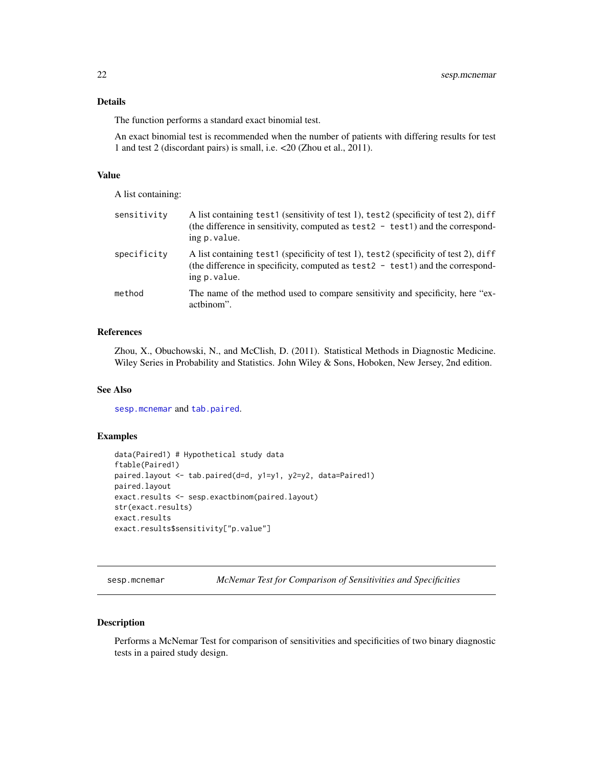#### <span id="page-21-0"></span>Details

The function performs a standard exact binomial test.

An exact binomial test is recommended when the number of patients with differing results for test 1 and test 2 (discordant pairs) is small, i.e. <20 (Zhou et al., 2011).

#### Value

A list containing:

| sensitivity | A list containing test1 (sensitivity of test 1), test2 (specificity of test 2), diff<br>(the difference in sensitivity, computed as test $2 - \text{test1}$ ) and the correspond-<br>ing p. value. |
|-------------|----------------------------------------------------------------------------------------------------------------------------------------------------------------------------------------------------|
| specificity | A list containing test1 (specificity of test 1), test2 (specificity of test 2), diff<br>(the difference in specificity, computed as test $2 - \text{test1}$ ) and the correspond-<br>ing p. value. |
| method      | The name of the method used to compare sensitivity and specificity, here "ex-<br>acthinom".                                                                                                        |

#### References

Zhou, X., Obuchowski, N., and McClish, D. (2011). Statistical Methods in Diagnostic Medicine. Wiley Series in Probability and Statistics. John Wiley & Sons, Hoboken, New Jersey, 2nd edition.

#### See Also

[sesp.mcnemar](#page-21-1) and [tab.paired](#page-24-1).

# Examples

```
data(Paired1) # Hypothetical study data
ftable(Paired1)
paired.layout <- tab.paired(d=d, y1=y1, y2=y2, data=Paired1)
paired.layout
exact.results <- sesp.exactbinom(paired.layout)
str(exact.results)
exact.results
exact.results$sensitivity["p.value"]
```
<span id="page-21-1"></span>sesp.mcnemar *McNemar Test for Comparison of Sensitivities and Specificities*

#### Description

Performs a McNemar Test for comparison of sensitivities and specificities of two binary diagnostic tests in a paired study design.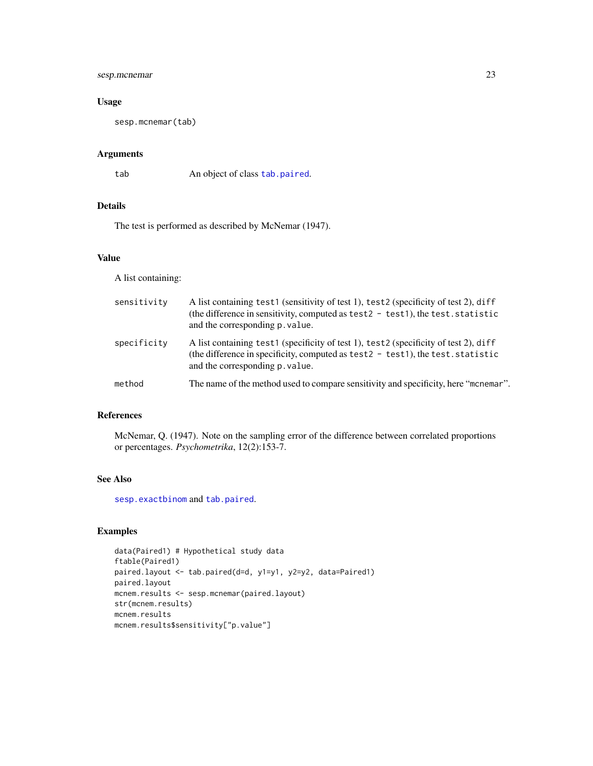# <span id="page-22-0"></span>sesp.mcnemar 23

#### Usage

sesp.mcnemar(tab)

# Arguments

tab An object of class [tab.paired](#page-24-1).

#### Details

The test is performed as described by McNemar (1947).

#### Value

A list containing:

| sensitivity | A list containing test1 (sensitivity of test 1), test2 (specificity of test 2), diff<br>(the difference in sensitivity, computed as test2 - test1), the test. statistic<br>and the corresponding p. value.     |
|-------------|----------------------------------------------------------------------------------------------------------------------------------------------------------------------------------------------------------------|
| specificity | A list containing test1 (specificity of test 1), test2 (specificity of test 2), diff<br>(the difference in specificity, computed as test $2 - test1$ ), the test. statistic<br>and the corresponding p. value. |
| method      | The name of the method used to compare sensitivity and specificity, here "monemar".                                                                                                                            |

# References

McNemar, Q. (1947). Note on the sampling error of the difference between correlated proportions or percentages. *Psychometrika*, 12(2):153-7.

#### See Also

[sesp.exactbinom](#page-20-1) and [tab.paired](#page-24-1).

# Examples

```
data(Paired1) # Hypothetical study data
ftable(Paired1)
paired.layout <- tab.paired(d=d, y1=y1, y2=y2, data=Paired1)
paired.layout
mcnem.results <- sesp.mcnemar(paired.layout)
str(mcnem.results)
mcnem.results
mcnem.results$sensitivity["p.value"]
```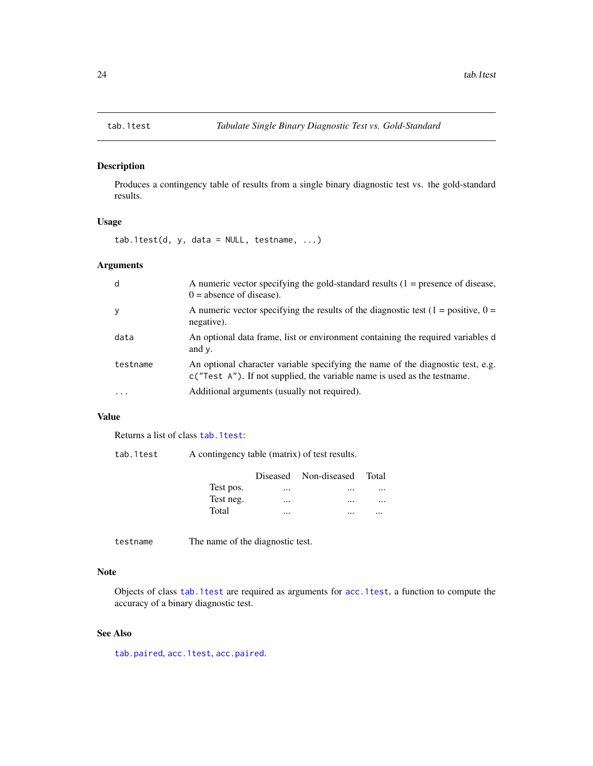<span id="page-23-1"></span><span id="page-23-0"></span>

# Description

Produces a contingency table of results from a single binary diagnostic test vs. the gold-standard results.

#### Usage

 $tab.1test(d, y, data = NULL, testname, ...)$ 

# Arguments

| d        | A numeric vector specifying the gold-standard results $(1 =$ presence of disease,<br>$0 =$ absence of disease).                                               |
|----------|---------------------------------------------------------------------------------------------------------------------------------------------------------------|
| у        | A numeric vector specifying the results of the diagnostic test $(1 = \text{positive}, 0 =$<br>negative).                                                      |
| data     | An optional data frame, list or environment containing the required variables d<br>and $\nu$ .                                                                |
| testname | An optional character variable specifying the name of the diagnostic test, e.g.<br>$c("Test A").$ If not supplied, the variable name is used as the testname. |
| .        | Additional arguments (usually not required).                                                                                                                  |

# Value

Returns a list of class [tab.1test](#page-23-1):

| tab.1test | A contingency table (matrix) of test results. |  |  |  |  |
|-----------|-----------------------------------------------|--|--|--|--|
|-----------|-----------------------------------------------|--|--|--|--|

|           |          | Diseased Non-diseased Total |          |
|-----------|----------|-----------------------------|----------|
| Test pos. | $\cdots$ | $\cdots$                    | $\cdots$ |
| Test neg. | $\cdots$ | $\cdots$                    | $\cdots$ |
| Total     |          |                             |          |

testname The name of the diagnostic test.

#### Note

Objects of class [tab.1test](#page-23-1) are required as arguments for [acc.1test](#page-2-1), a function to compute the accuracy of a binary diagnostic test.

#### See Also

[tab.paired](#page-24-1), [acc.1test](#page-2-1), [acc.paired](#page-4-1).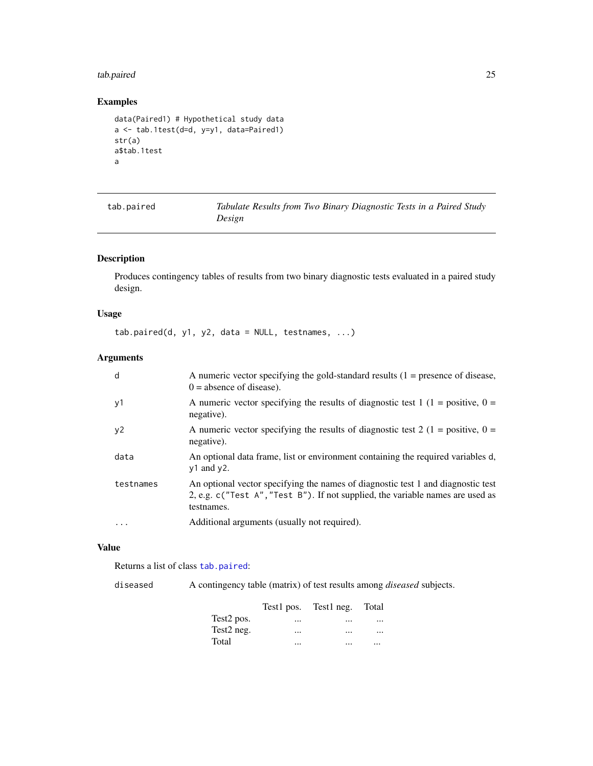#### <span id="page-24-0"></span>tab.paired 25

# Examples

```
data(Paired1) # Hypothetical study data
a <- tab.1test(d=d, y=y1, data=Paired1)
str(a)
a$tab.1test
a
```
<span id="page-24-1"></span>

| tab.paired | Tabulate Results from Two Binary Diagnostic Tests in a Paired Study |
|------------|---------------------------------------------------------------------|
|            | Design                                                              |

# Description

Produces contingency tables of results from two binary diagnostic tests evaluated in a paired study design.

# Usage

 $tab.paired(d, y1, y2, data = NULL, testnames, ...)$ 

#### Arguments

| d         | A numeric vector specifying the gold-standard results $(1 =$ presence of disease,<br>$0 =$ absence of disease).                                                                  |
|-----------|----------------------------------------------------------------------------------------------------------------------------------------------------------------------------------|
| y1        | A numeric vector specifying the results of diagnostic test 1 (1 = positive, 0 =<br>negative).                                                                                    |
| y2        | A numeric vector specifying the results of diagnostic test 2 (1 = positive, $0 =$<br>negative).                                                                                  |
| data      | An optional data frame, list or environment containing the required variables d,<br>$y1$ and $y2$ .                                                                              |
| testnames | An optional vector specifying the names of diagnostic test 1 and diagnostic test<br>2, e.g. c("Test A", "Test B"). If not supplied, the variable names are used as<br>testnames. |
| $\ddotsc$ | Additional arguments (usually not required).                                                                                                                                     |
|           |                                                                                                                                                                                  |

# Value

Returns a list of class [tab.paired](#page-24-1):

diseased A contingency table (matrix) of test results among *diseased* subjects.

|                        |          | Test pos. Test neg. Total |          |
|------------------------|----------|---------------------------|----------|
| Test <sub>2</sub> pos. | $\cdots$ | $\cdots$                  | $\cdots$ |
| Test <sub>2</sub> neg. | $\cdots$ | $\cdots$                  |          |
| Total                  | $\cdots$ |                           |          |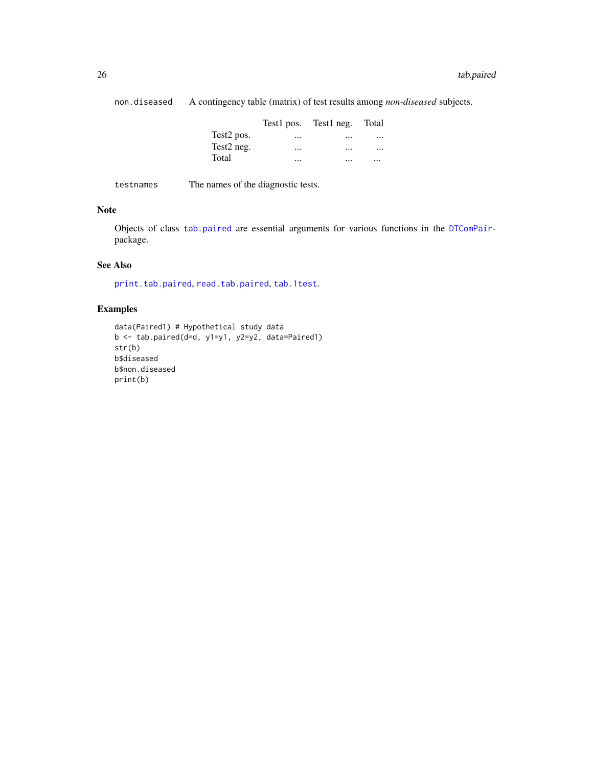<span id="page-25-0"></span>non.diseased A contingency table (matrix) of test results among *non-diseased* subjects.

|                        |          | Test1 pos. Test1 neg. Total |  |
|------------------------|----------|-----------------------------|--|
| Test <sub>2</sub> pos. | $\cdots$ | $\cdots$                    |  |
| Test <sub>2</sub> neg. |          | $\cdots$                    |  |
| Total                  |          |                             |  |

testnames The names of the diagnostic tests.

#### Note

Objects of class [tab.paired](#page-24-1) are essential arguments for various functions in the [DTComPair](#page-1-1)package.

#### See Also

[print.tab.paired](#page-11-2), [read.tab.paired](#page-16-1), [tab.1test](#page-23-1).

# Examples

```
data(Paired1) # Hypothetical study data
b <- tab.paired(d=d, y1=y1, y2=y2, data=Paired1)
str(b)
b$diseased
b$non.diseased
print(b)
```